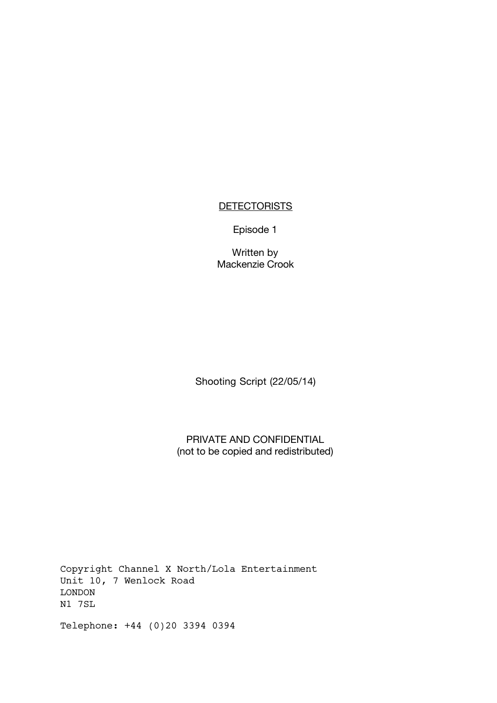# **DETECTORISTS**

Episode 1

Written by Mackenzie Crook

Shooting Script (22/05/14)

PRIVATE AND CONFIDENTIAL (not to be copied and redistributed)

Copyright Channel X North/Lola Entertainment Unit 10, 7 Wenlock Road LONDON N1 7SL

Telephone: +44 (0)20 3394 0394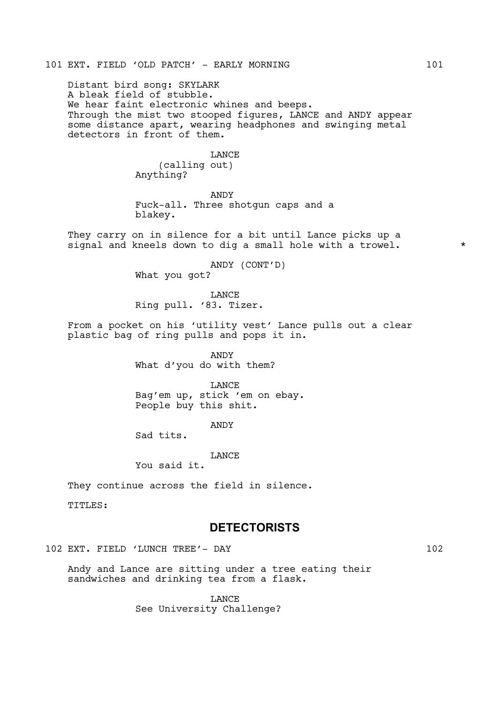Distant bird song: SKYLARK A bleak field of stubble. We hear faint electronic whines and beeps. Through the mist two stooped figures, LANCE and ANDY appear some distance apart, wearing headphones and swinging metal detectors in front of them.

### LANCE

(calling out) Anything?

ANDY Fuck-all. Three shotgun caps and a blakey.

They carry on in silence for a bit until Lance picks up a signal and kneels down to dig a small hole with a trowel.  $*$ 

> ANDY (CONT'D) What you got?

LANCE Ring pull. '83. Tizer.

From a pocket on his 'utility vest' Lance pulls out a clear plastic bag of ring pulls and pops it in.

> ANDY What d'you do with them?

LANCE Bag'em up, stick 'em on ebay. People buy this shit.

ANDY

Sad tits.

**T.ANCE** 

You said it.

They continue across the field in silence.

TITLES:

# **DETECTORISTS**

102 EXT. FIELD 'LUNCH TREE'- DAY 102

Andy and Lance are sitting under a tree eating their sandwiches and drinking tea from a flask.

> LANCE See University Challenge?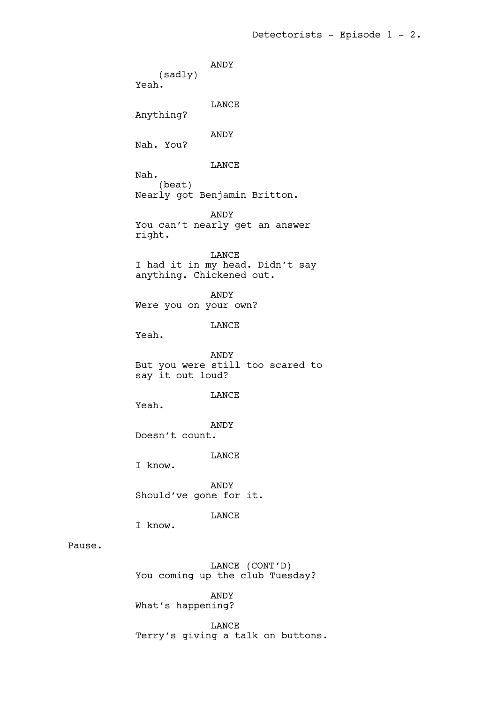ANDY (sadly) Yeah. LANCE Anything? ANDY Nah. You? LANCE Nah. (beat) Nearly got Benjamin Britton. ANDY You can't nearly get an answer right. LANCE I had it in my head. Didn't say anything. Chickened out. ANDY Were you on your own? LANCE Yeah. ANDY But you were still too scared to say it out loud? LANCE Yeah. ANDY Doesn't count. LANCE I know. ANDY Should've gone for it. LANCE I know. LANCE (CONT'D) You coming up the club Tuesday?

ANDY What's happening?

Pause.

LANCE Terry's giving a talk on buttons.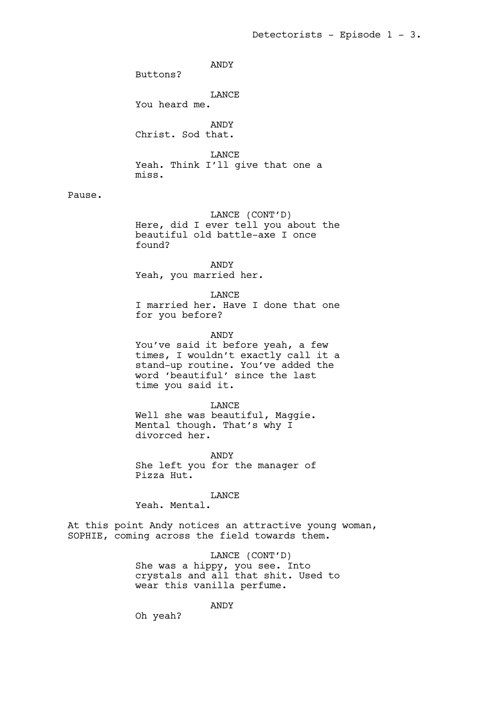ANDY

Buttons?

LANCE

You heard me.

ANDY Christ. Sod that.

LANCE Yeah. Think I'll give that one a miss.

# Pause.

LANCE (CONT'D) Here, did I ever tell you about the beautiful old battle-axe I once found?

ANDY Yeah, you married her.

LANCE I married her. Have I done that one for you before?

ANDY

You've said it before yeah, a few times, I wouldn't exactly call it a stand-up routine. You've added the word 'beautiful' since the last time you said it.

LANCE Well she was beautiful, Maggie. Mental though. That's why I divorced her.

ANDY She left you for the manager of Pizza Hut.

LANCE Yeah. Mental.

At this point Andy notices an attractive young woman, SOPHIE, coming across the field towards them.

> LANCE (CONT'D) She was a hippy, you see. Into crystals and all that shit. Used to wear this vanilla perfume.

> > ANDY

Oh yeah?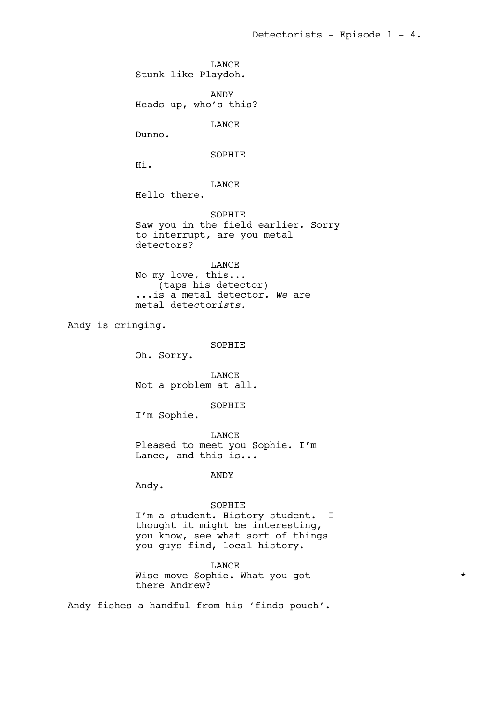LANCE Stunk like Playdoh. ANDY Heads up, who's this? LANCE Dunno. SOPHIE Hi. LANCE Hello there. SOPHIE Saw you in the field earlier. Sorry to interrupt, are you metal detectors? LANCE No my love, this... (taps his detector) ...is a metal detector. *We* are metal detector*ists.* Andy is cringing. SOPHIE Oh. Sorry. LANCE Not a problem at all. SOPHIE I'm Sophie. LANCE Pleased to meet you Sophie. I'm Lance, and this is... ANDY Andy. SOPHIE I'm a student. History student. I thought it might be interesting, you know, see what sort of things you guys find, local history. LANCE Wise move Sophie. What you got \* there Andrew?

Andy fishes a handful from his 'finds pouch'.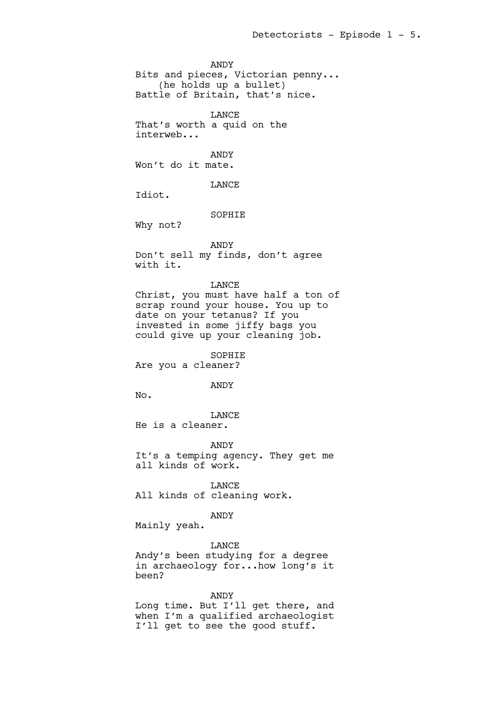ANDY Bits and pieces, Victorian penny... (he holds up a bullet) Battle of Britain, that's nice.

LANCE That's worth a quid on the interweb...

ANDY Won't do it mate.

LANCE

Idiot.

# SOPHIE

Why not?

#### ANDY

Don't sell my finds, don't agree with it.

### LANCE

Christ, you must have half a ton of scrap round your house. You up to date on your tetanus? If you invested in some jiffy bags you could give up your cleaning job.

SOPHIE

Are you a cleaner?

### ANDY

No.

LANCE He is a cleaner.

ANDY It's a temping agency. They get me all kinds of work.

LANCE All kinds of cleaning work.

### ANDY

Mainly yeah.

# LANCE

Andy's been studying for a degree in archaeology for...how long's it been?

# ANDY

Long time. But I'll get there, and when I'm a qualified archaeologist I'll get to see the good stuff.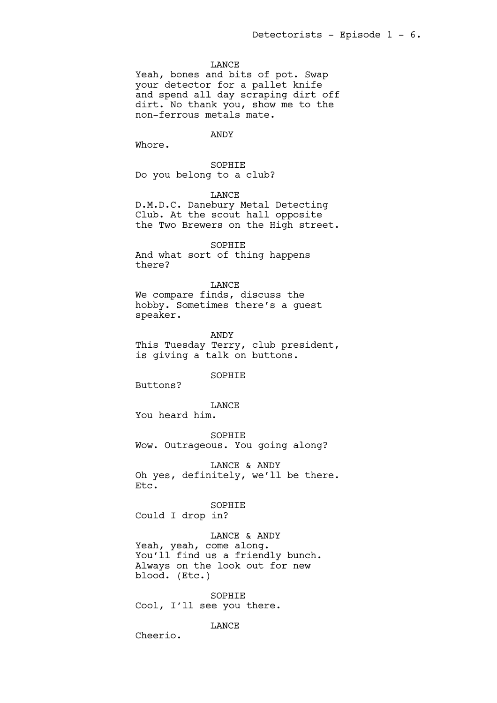### LANCE

Yeah, bones and bits of pot. Swap your detector for a pallet knife and spend all day scraping dirt off dirt. No thank you, show me to the non-ferrous metals mate.

ANDY

Whore.

SOPHIE Do you belong to a club?

LANCE

D.M.D.C. Danebury Metal Detecting Club. At the scout hall opposite the Two Brewers on the High street.

SOPHIE

And what sort of thing happens there?

LANCE

We compare finds, discuss the hobby. Sometimes there's a guest speaker.

ANDY This Tuesday Terry, club president, is giving a talk on buttons.

SOPHIE

Buttons?

LANCE

You heard him.

SOPHIE Wow. Outrageous. You going along?

LANCE & ANDY Oh yes, definitely, we'll be there. Etc.

SOPHIE Could I drop in?

LANCE & ANDY Yeah, yeah, come along. You'll find us a friendly bunch. Always on the look out for new blood. (Etc.)

SOPHIE Cool, I'll see you there.

LANCE

Cheerio.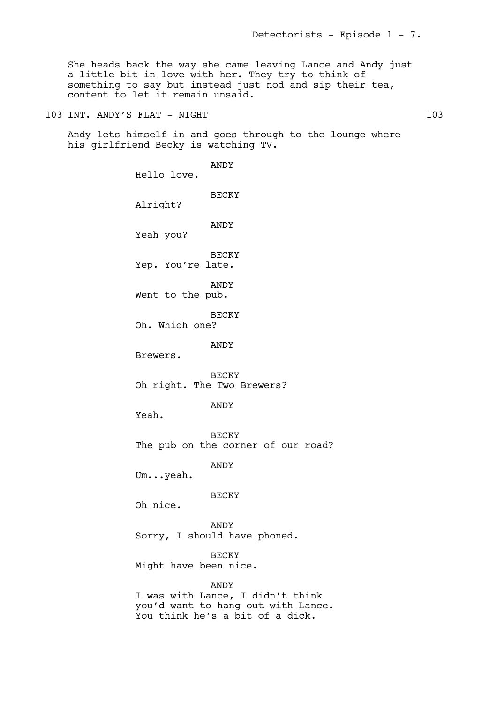She heads back the way she came leaving Lance and Andy just a little bit in love with her. They try to think of something to say but instead just nod and sip their tea, content to let it remain unsaid.

103 INT. ANDY'S FLAT - NIGHT 103 103

Andy lets himself in and goes through to the lounge where his girlfriend Becky is watching TV.

> ANDY Hello love. BECKY Alright? ANDY Yeah you? BECKY Yep. You're late. ANDY Went to the pub. BECKY Oh. Which one? ANDY Brewers. BECKY Oh right. The Two Brewers? ANDY Yeah. BECKY The pub on the corner of our road? ANDY Um...yeah. BECKY Oh nice. ANDY Sorry, I should have phoned. **BECKY** Might have been nice. ANDY I was with Lance, I didn't think you'd want to hang out with Lance. You think he's a bit of a dick.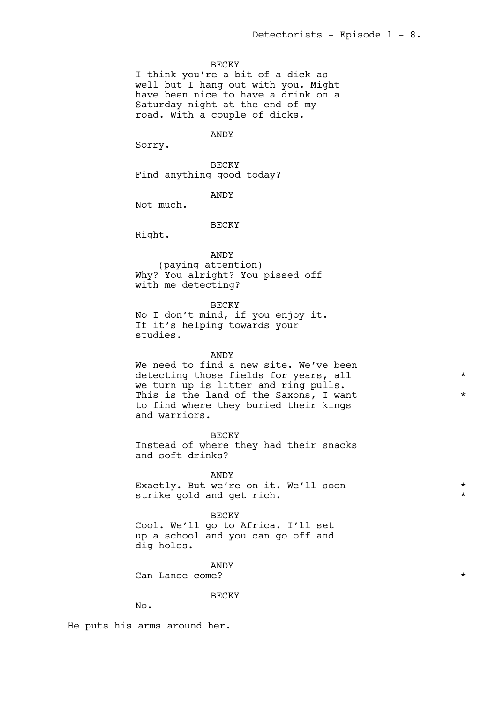### BECKY

I think you're a bit of a dick as well but I hang out with you. Might have been nice to have a drink on a Saturday night at the end of my road. With a couple of dicks.

ANDY

Sorry.

BECKY Find anything good today?

ANDY

Not much.

### BECKY

Right.

ANDY (paying attention) Why? You alright? You pissed off with me detecting?

BECKY

No I don't mind, if you enjoy it. If it's helping towards your studies.

#### ANDY

We need to find a new site. We've been detecting those fields for years, all  $*$ we turn up is litter and ring pulls. This is the land of the Saxons, I want  $*$ to find where they buried their kings and warriors.

BECKY

Instead of where they had their snacks and soft drinks?

ANDY

Exactly. But we're on it. We'll soon \* strike gold and get rich.

BECKY

Cool. We'll go to Africa. I'll set up a school and you can go off and dig holes.

ANDY

Can Lance come?  $\star$ 

**BECKY** 

No.

He puts his arms around her.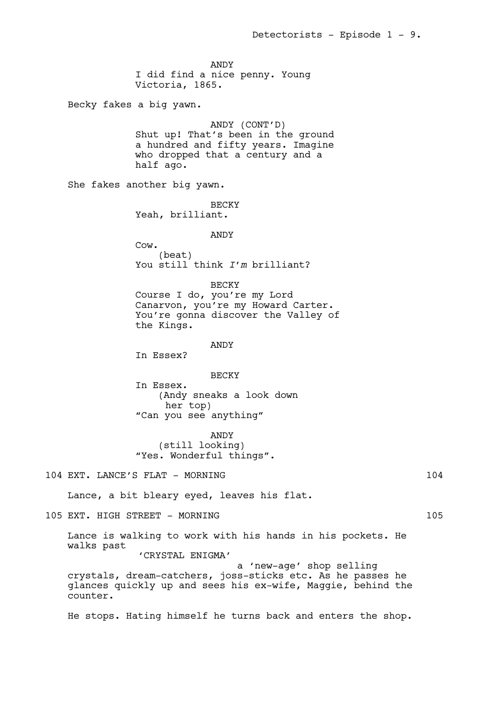ANDY I did find a nice penny. Young Victoria, 1865.

Becky fakes a big yawn.

ANDY (CONT'D) Shut up! That's been in the ground a hundred and fifty years. Imagine who dropped that a century and a half ago.

She fakes another big yawn.

BECKY Yeah, brilliant.

# ANDY

Cow. (beat) You still think *I'm* brilliant?

BECKY

Course I do, you're my Lord Canarvon, you're my Howard Carter. You're gonna discover the Valley of the Kings.

### ANDY

In Essex?

#### BECKY

In Essex. (Andy sneaks a look down her top) "Can you see anything"

ANDY (still looking) "Yes. Wonderful things".

104 EXT. LANCE'S FLAT - MORNING 104

Lance, a bit bleary eyed, leaves his flat.

105 EXT. HIGH STREET - MORNING 105

Lance is walking to work with his hands in his pockets. He walks past

'CRYSTAL ENIGMA'

 a 'new-age' shop selling crystals, dream-catchers, joss-sticks etc. As he passes he glances quickly up and sees his ex-wife, Maggie, behind the counter.

He stops. Hating himself he turns back and enters the shop.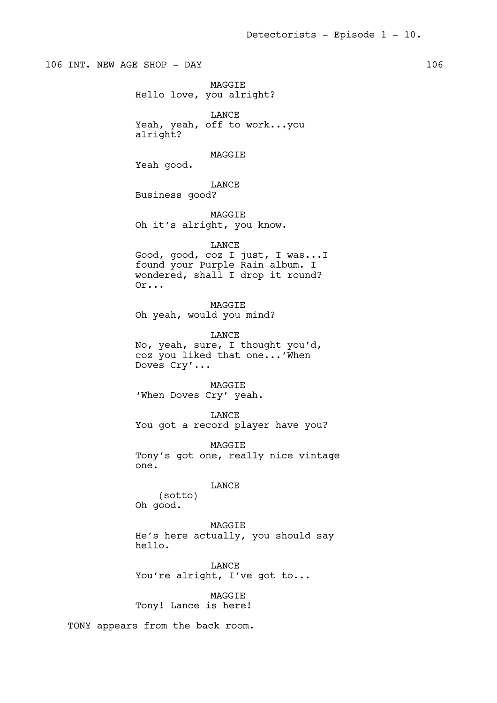106 INT. NEW AGE SHOP - DAY 106 MAGGIE Hello love, you alright? LANCE Yeah, yeah, off to work...you alright? MAGGIE Yeah good. LANCE Business good? MAGGIE Oh it's alright, you know. LANCE Good, good, coz I just, I was...I found your Purple Rain album. I wondered, shall I drop it round? Or... MAGGIE Oh yeah, would you mind? LANCE No, yeah, sure, I thought you'd, coz you liked that one...'When Doves Cry'... MAGGIE 'When Doves Cry' yeah. LANCE You got a record player have you? MAGGIE Tony's got one, really nice vintage one. LANCE (sotto) Oh good. **MAGGTE** He's here actually, you should say hello. **TANCE** You're alright, I've got to... **MAGGTE** Tony! Lance is here!

TONY appears from the back room.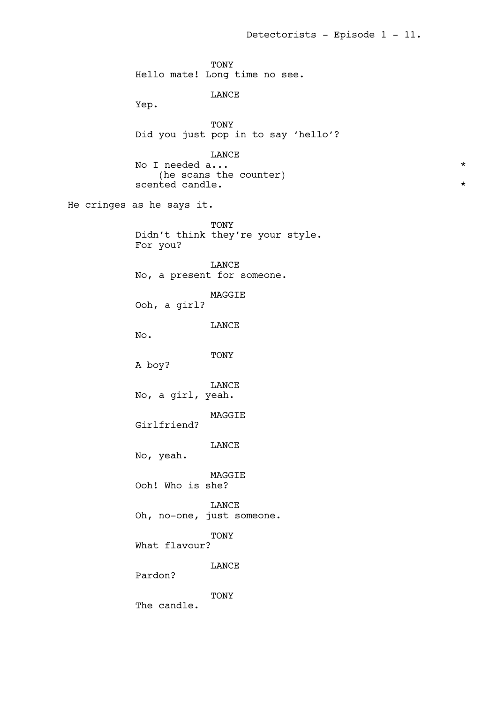TONY Hello mate! Long time no see. LANCE Yep. TONY Did you just pop in to say 'hello'? LANCE No I needed a...  $\star$ (he scans the counter) scented candle.  $\star$ He cringes as he says it. TONY Didn't think they're your style. For you? LANCE No, a present for someone. MAGGIE Ooh, a girl? LANCE No. TONY A boy? LANCE No, a girl, yeah. MAGGIE Girlfriend? LANCE No, yeah. MAGGIE Ooh! Who is she? LANCE Oh, no-one, just someone. TONY What flavour? LANCE Pardon? TONY The candle.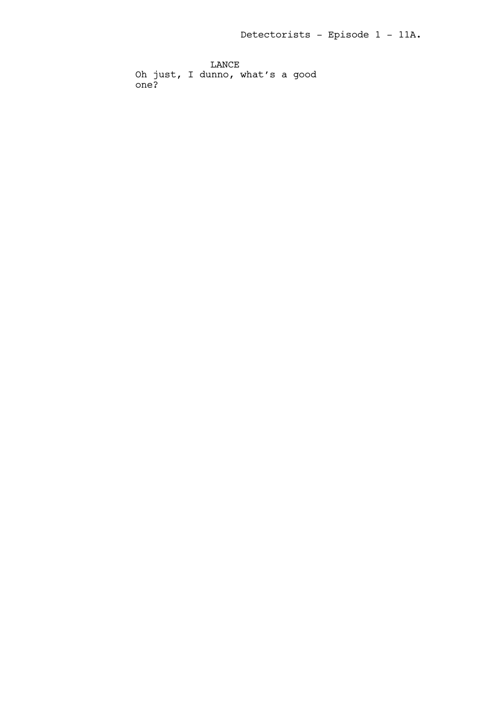LANCE Oh just, I dunno, what's a good one?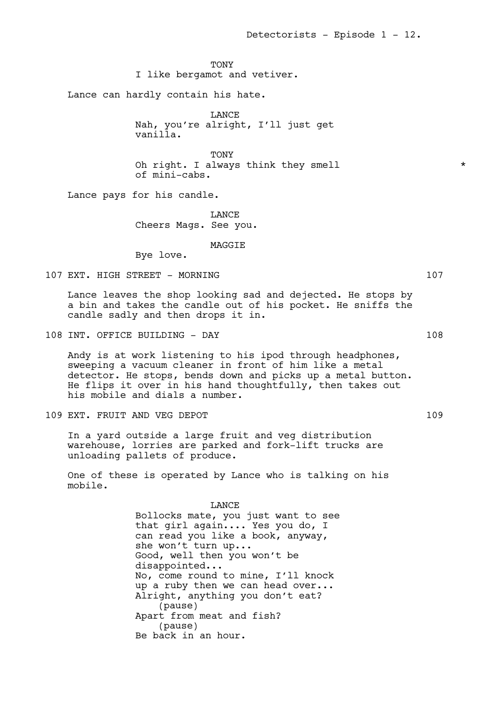**TONY** 

I like bergamot and vetiver.

Lance can hardly contain his hate.

LANCE Nah, you're alright, I'll just get vanilla.

**TONY** Oh right. I always think they smell  $*$ of mini-cabs.

Lance pays for his candle.

LANCE Cheers Mags. See you.

**MAGGTE** 

Bye love.

107 EXT. HIGH STREET - MORNING 107 107

Lance leaves the shop looking sad and dejected. He stops by a bin and takes the candle out of his pocket. He sniffs the candle sadly and then drops it in.

108 INT. OFFICE BUILDING - DAY 108

Andy is at work listening to his ipod through headphones, sweeping a vacuum cleaner in front of him like a metal detector. He stops, bends down and picks up a metal button. He flips it over in his hand thoughtfully, then takes out his mobile and dials a number.

109 EXT. FRUIT AND VEG DEPOT 109 109

In a yard outside a large fruit and veg distribution warehouse, lorries are parked and fork-lift trucks are unloading pallets of produce.

One of these is operated by Lance who is talking on his mobile.

> LANCE Bollocks mate, you just want to see that girl again.... Yes you do, I can read you like a book, anyway, she won't turn up... Good, well then you won't be disappointed... No, come round to mine, I'll knock up a ruby then we can head over... Alright, anything you don't eat? (pause) Apart from meat and fish? (pause) Be back in an hour.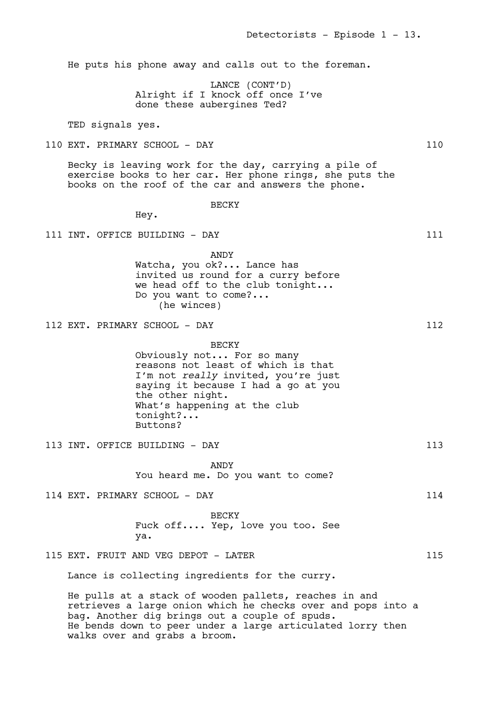He puts his phone away and calls out to the foreman.

LANCE (CONT'D) Alright if I knock off once I've done these aubergines Ted?

TED signals yes.

110 EXT. PRIMARY SCHOOL - DAY 110

Becky is leaving work for the day, carrying a pile of exercise books to her car. Her phone rings, she puts the books on the roof of the car and answers the phone.

BECKY

Hey.

111 INT. OFFICE BUILDING - DAY 111

ANDY Watcha, you ok?... Lance has invited us round for a curry before we head off to the club tonight... Do you want to come?... (he winces)

112 EXT. PRIMARY SCHOOL - DAY 112

BECKY Obviously not... For so many reasons not least of which is that I'm not *really* invited, you're just saying it because I had a go at you the other night. What's happening at the club tonight?... Buttons?

113 INT. OFFICE BUILDING - DAY 113

ANDY You heard me. Do you want to come?

114 EXT. PRIMARY SCHOOL - DAY 114

BECKY Fuck off.... Yep, love you too. See ya.

115 EXT. FRUIT AND VEG DEPOT - LATER 115

Lance is collecting ingredients for the curry.

He pulls at a stack of wooden pallets, reaches in and retrieves a large onion which he checks over and pops into a bag. Another dig brings out a couple of spuds. He bends down to peer under a large articulated lorry then walks over and grabs a broom.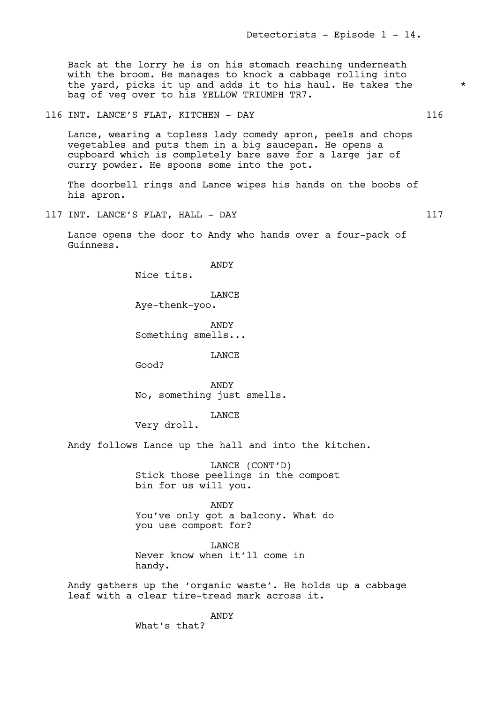Back at the lorry he is on his stomach reaching underneath with the broom. He manages to knock a cabbage rolling into the yard, picks it up and adds it to his haul. He takes the  $*$ bag of veg over to his YELLOW TRIUMPH TR7.

116 INT. LANCE'S FLAT, KITCHEN - DAY 116

Lance, wearing a topless lady comedy apron, peels and chops vegetables and puts them in a big saucepan. He opens a cupboard which is completely bare save for a large jar of curry powder. He spoons some into the pot.

The doorbell rings and Lance wipes his hands on the boobs of his apron.

117 INT. LANCE'S FLAT, HALL - DAY 117

Lance opens the door to Andy who hands over a four-pack of Guinness.

ANDY

Nice tits.

LANCE Aye-thenk-yoo.

ANDY Something smells...

LANCE

Good?

ANDY No, something just smells.

LANCE

Very droll.

Andy follows Lance up the hall and into the kitchen.

LANCE (CONT'D) Stick those peelings in the compost bin for us will you.

ANDY You've only got a balcony. What do you use compost for?

LANCE Never know when it'll come in handy.

Andy gathers up the 'organic waste'. He holds up a cabbage leaf with a clear tire-tread mark across it.

ANDY

What's that?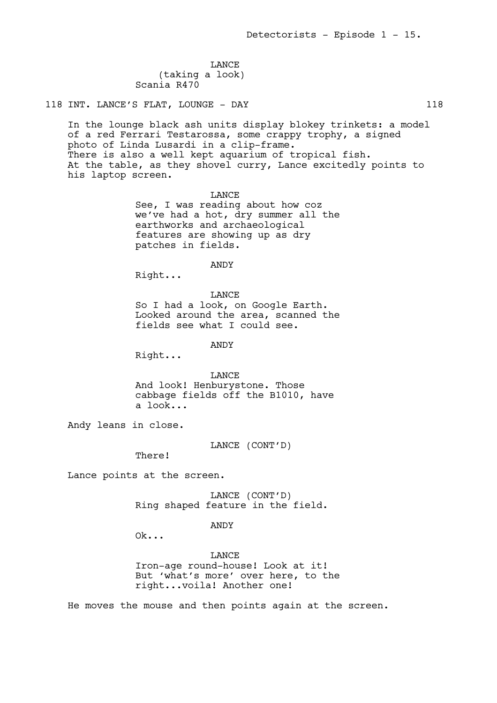LANCE (taking a look) Scania R470

118 INT. LANCE'S FLAT, LOUNGE - DAY 118

In the lounge black ash units display blokey trinkets: a model of a red Ferrari Testarossa, some crappy trophy, a signed photo of Linda Lusardi in a clip-frame. There is also a well kept aquarium of tropical fish. At the table, as they shovel curry, Lance excitedly points to his laptop screen.

> LANCE See, I was reading about how coz we've had a hot, dry summer all the earthworks and archaeological features are showing up as dry patches in fields.

> > ANDY

Right...

LANCE So I had a look, on Google Earth. Looked around the area, scanned the fields see what I could see.

ANDY

Right...

LANCE And look! Henburystone. Those cabbage fields off the B1010, have a look...

Andy leans in close.

LANCE (CONT'D)

There!

Lance points at the screen.

LANCE (CONT'D) Ring shaped feature in the field.

ANDY

Ok...

**LANCE** Iron-age round-house! Look at it! But 'what's more' over here, to the right...voila! Another one!

He moves the mouse and then points again at the screen.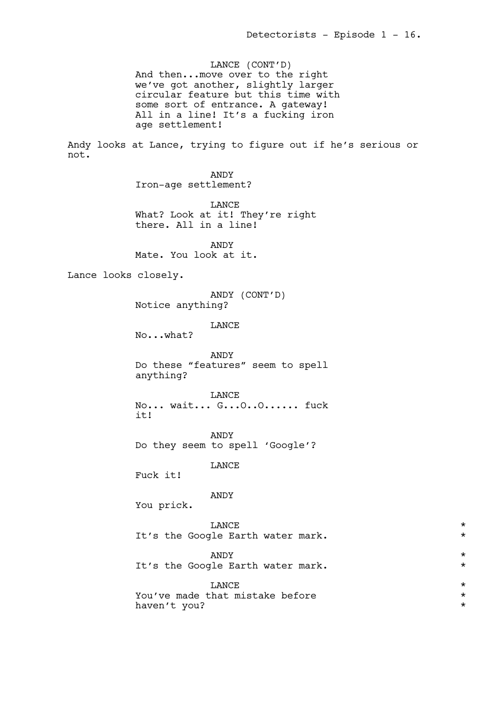LANCE (CONT'D) And then...move over to the right we've got another, slightly larger circular feature but this time with some sort of entrance. A gateway! All in a line! It's a fucking iron age settlement!

Andy looks at Lance, trying to figure out if he's serious or not.

> ANDY Iron-age settlement?

LANCE What? Look at it! They're right there. All in a line!

ANDY Mate. You look at it.

Lance looks closely.

ANDY (CONT'D) Notice anything?

LANCE

No...what?

ANDY Do these "features" seem to spell anything?

LANCE

No... wait... G...O..O...... fuck it!

ANDY Do they seem to spell 'Google'?

LANCE

Fuck it!

ANDY

You prick.

| <b>LANCE</b>                      | $\star$ |
|-----------------------------------|---------|
| It's the Google Earth water mark. | $\star$ |
| ANDY                              | $\star$ |
| It's the Google Earth water mark. | $\star$ |
| <b>LANCE</b>                      | $\star$ |
| You've made that mistake before   | $\star$ |
| haven't you?                      | $\star$ |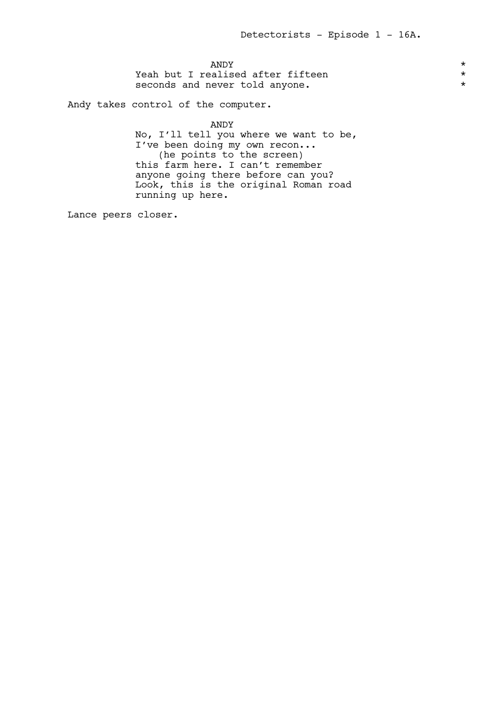$\blacksquare$   $\blacksquare$   $\blacksquare$   $\blacksquare$   $\blacksquare$   $\blacksquare$   $\blacksquare$   $\blacksquare$   $\blacksquare$   $\blacksquare$   $\blacksquare$   $\blacksquare$   $\blacksquare$   $\blacksquare$   $\blacksquare$   $\blacksquare$   $\blacksquare$   $\blacksquare$   $\blacksquare$   $\blacksquare$   $\blacksquare$   $\blacksquare$   $\blacksquare$   $\blacksquare$   $\blacksquare$   $\blacksquare$   $\blacksquare$   $\blacksquare$   $\blacksquare$   $\blacksquare$   $\blacksquare$   $\blacks$ Yeah but I realised after fifteen<br>seconds and never told anyone. seconds and never told anyone.

Andy takes control of the computer.

ANDY

No, I'll tell you where we want to be, I've been doing my own recon... (he points to the screen) this farm here. I can't remember anyone going there before can you? Look, this is the original Roman road running up here.

Lance peers closer.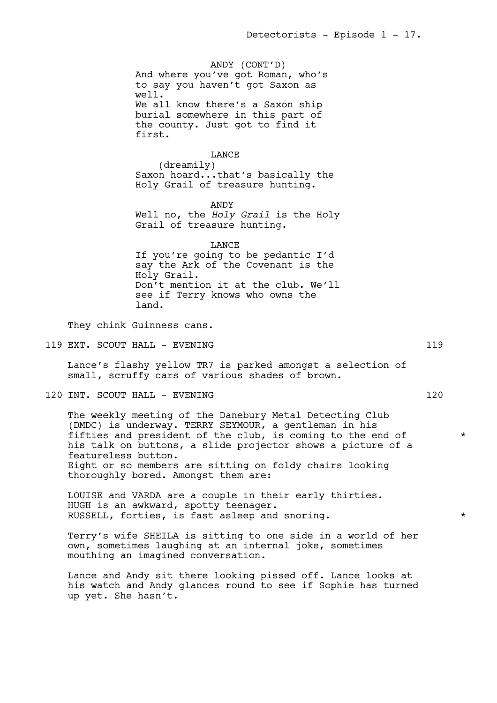ANDY (CONT'D) And where you've got Roman, who's to say you haven't got Saxon as well. We all know there's a Saxon ship burial somewhere in this part of the county. Just got to find it first.

LANCE (dreamily) Saxon hoard...that's basically the Holy Grail of treasure hunting.

ANDY Well no, the *Holy Grail* is the Holy Grail of treasure hunting.

LANCE If you're going to be pedantic I'd say the Ark of the Covenant is the Holy Grail. Don't mention it at the club. We'll see if Terry knows who owns the land.

They chink Guinness cans.

119 EXT. SCOUT HALL – EVENING 119

Lance's flashy yellow TR7 is parked amongst a selection of small, scruffy cars of various shades of brown.

120 INT. SCOUT HALL - EVENING 120 120

The weekly meeting of the Danebury Metal Detecting Club (DMDC) is underway. TERRY SEYMOUR, a gentleman in his fifties and president of the club, is coming to the end of  $*$ his talk on buttons, a slide projector shows a picture of a featureless button. Eight or so members are sitting on foldy chairs looking thoroughly bored. Amongst them are:

LOUISE and VARDA are a couple in their early thirties. HUGH is an awkward, spotty teenager. RUSSELL, forties, is fast asleep and snoring. \*

Terry's wife SHEILA is sitting to one side in a world of her own, sometimes laughing at an internal joke, sometimes mouthing an imagined conversation.

Lance and Andy sit there looking pissed off. Lance looks at his watch and Andy glances round to see if Sophie has turned up yet. She hasn't.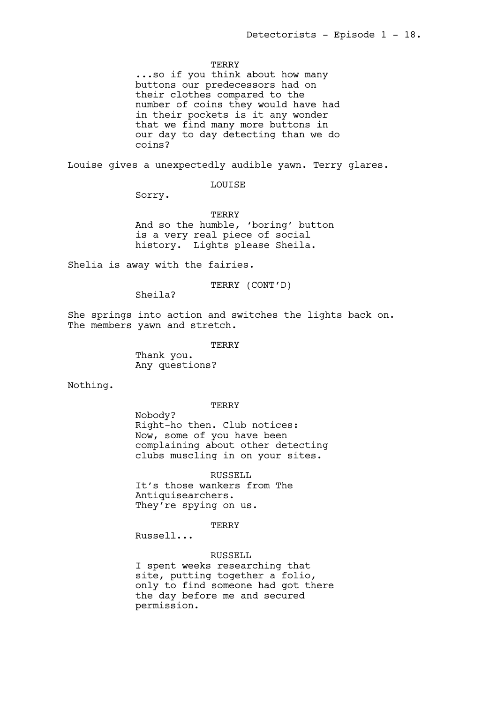### **TERRY**

...so if you think about how many buttons our predecessors had on their clothes compared to the number of coins they would have had in their pockets is it any wonder that we find many more buttons in our day to day detecting than we do coins?

Louise gives a unexpectedly audible yawn. Terry glares.

LOUISE

Sorry.

TERRY And so the humble, 'boring' button is a very real piece of social history. Lights please Sheila.

Shelia is away with the fairies.

TERRY (CONT'D)

Sheila?

She springs into action and switches the lights back on. The members yawn and stretch.

> **TERRY** Thank you.

Any questions?

Nothing.

#### TERRY

Nobody? Right-ho then. Club notices: Now, some of you have been complaining about other detecting clubs muscling in on your sites.

RUSSELL

It's those wankers from The Antiquisearchers. They're spying on us.

**TERRY** 

Russell...

RUSSELL

I spent weeks researching that site, putting together a folio, only to find someone had got there the day before me and secured permission.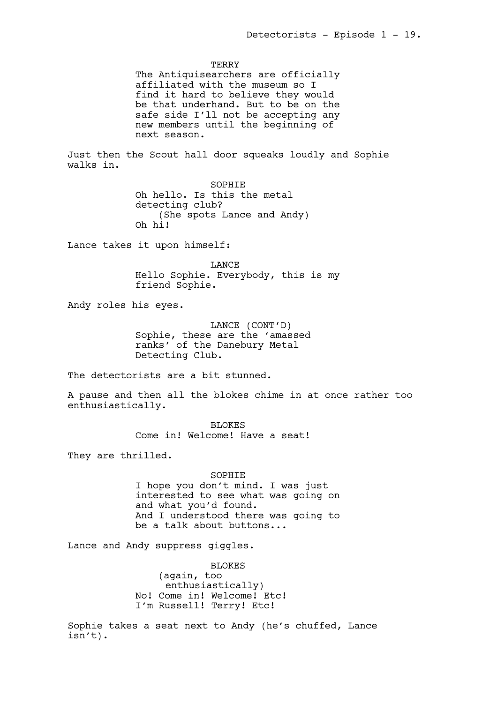**TERRY** The Antiquisearchers are officially affiliated with the museum so I find it hard to believe they would be that underhand. But to be on the safe side I'll not be accepting any new members until the beginning of next season. Just then the Scout hall door squeaks loudly and Sophie walks in. SOPHIE Oh hello. Is this the metal detecting club? (She spots Lance and Andy) Oh hi! Lance takes it upon himself: LANCE Hello Sophie. Everybody, this is my friend Sophie. Andy roles his eyes. LANCE (CONT'D) Sophie, these are the 'amassed ranks' of the Danebury Metal Detecting Club. The detectorists are a bit stunned. A pause and then all the blokes chime in at once rather too enthusiastically. BLOKES Come in! Welcome! Have a seat! They are thrilled. SOPHIE I hope you don't mind. I was just interested to see what was going on and what you'd found. And I understood there was going to be a talk about buttons... Lance and Andy suppress giggles. **BLOKES** (again, too enthusiastically) No! Come in! Welcome! Etc! I'm Russell! Terry! Etc!

Sophie takes a seat next to Andy (he's chuffed, Lance isn't).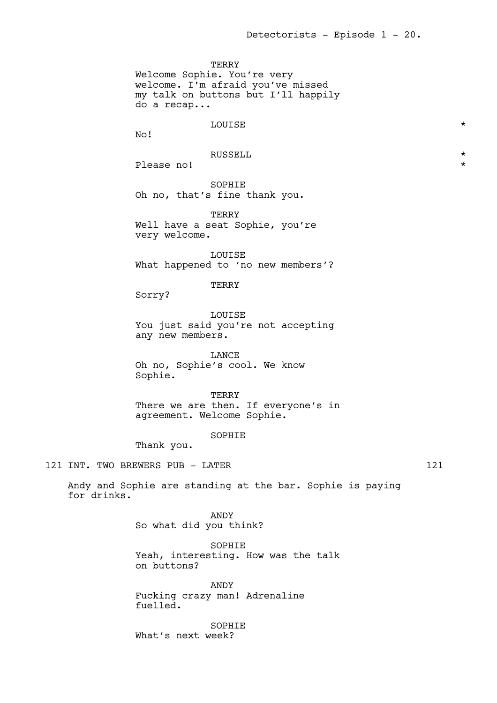**TERRY** Welcome Sophie. You're very welcome. I'm afraid you've missed my talk on buttons but I'll happily do a recap...

# LOUISE \*

No!

# RUSSELL \*

Please no!

SOPHIE Oh no, that's fine thank you.

TERRY Well have a seat Sophie, you're very welcome.

LOUISE What happened to 'no new members'?

### TERRY

Sorry?

LOUISE You just said you're not accepting any new members.

LANCE Oh no, Sophie's cool. We know Sophie.

TERRY There we are then. If everyone's in agreement. Welcome Sophie.

# SOPHIE

Thank you.

121 INT. TWO BREWERS PUB - LATER 121

Andy and Sophie are standing at the bar. Sophie is paying for drinks.

> ANDY So what did you think?

SOPHIE Yeah, interesting. How was the talk on buttons?

ANDY Fucking crazy man! Adrenaline fuelled.

SOPHIE What's next week?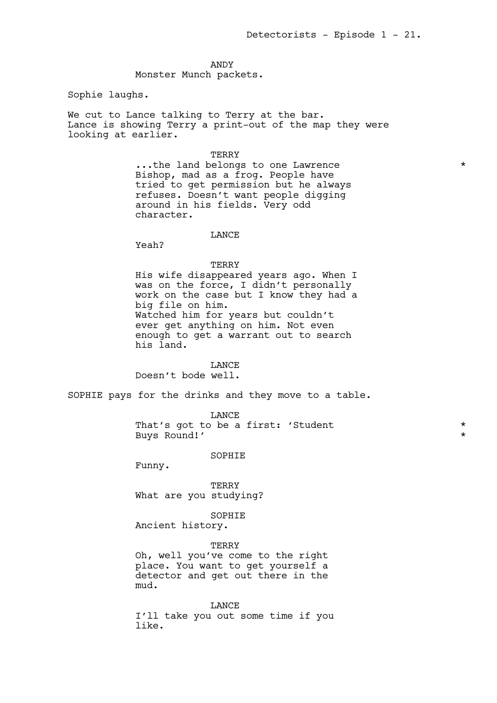#### ANDY

Monster Munch packets.

Sophie laughs.

We cut to Lance talking to Terry at the bar. Lance is showing Terry a print-out of the map they were looking at earlier.

### **TERRY**

...the land belongs to one Lawrence \* Bishop, mad as a frog. People have tried to get permission but he always refuses. Doesn't want people digging around in his fields. Very odd character.

# **LANCE**

Yeah?

### **TERRY**

His wife disappeared years ago. When I was on the force, I didn't personally work on the case but I know they had a big file on him. Watched him for years but couldn't ever get anything on him. Not even enough to get a warrant out to search his land.

LANCE Doesn't bode well.

SOPHIE pays for the drinks and they move to a table.

LANCE That's got to be a first: 'Student \* Buys Round!'

### SOPHIE

Funny.

TERRY What are you studying?

SOPHIE

Ancient history.

**TERRY** 

Oh, well you've come to the right place. You want to get yourself a detector and get out there in the mud.

LANCE I'll take you out some time if you like.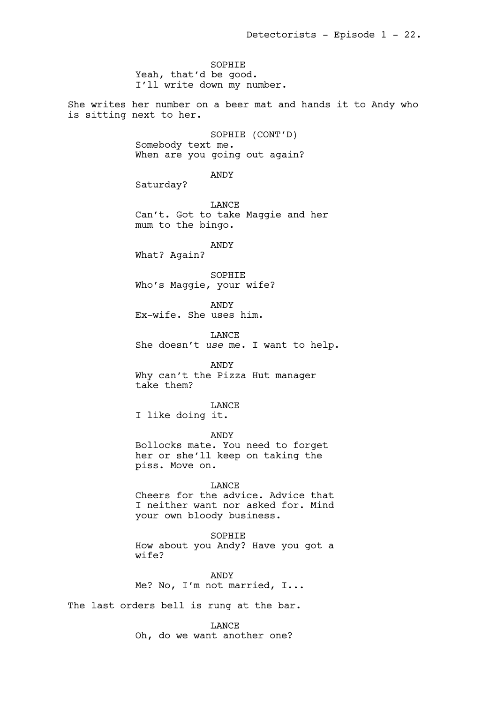SOPHIE Yeah, that'd be good. I'll write down my number.

She writes her number on a beer mat and hands it to Andy who is sitting next to her.

> SOPHIE (CONT'D) Somebody text me. When are you going out again?

> > ANDY

Saturday?

LANCE Can't. Got to take Maggie and her mum to the bingo.

ANDY

What? Again?

SOPHIE Who's Maggie, your wife?

ANDY Ex-wife. She uses him.

LANCE She doesn't *use* me. I want to help.

ANDY

Why can't the Pizza Hut manager take them?

LANCE

I like doing it.

ANDY

Bollocks mate. You need to forget her or she'll keep on taking the piss. Move on.

LANCE

Cheers for the advice. Advice that I neither want nor asked for. Mind your own bloody business.

**SOPHTE** How about you Andy? Have you got a wife?

ANDY Me? No, I'm not married, I...

The last orders bell is rung at the bar.

LANCE Oh, do we want another one?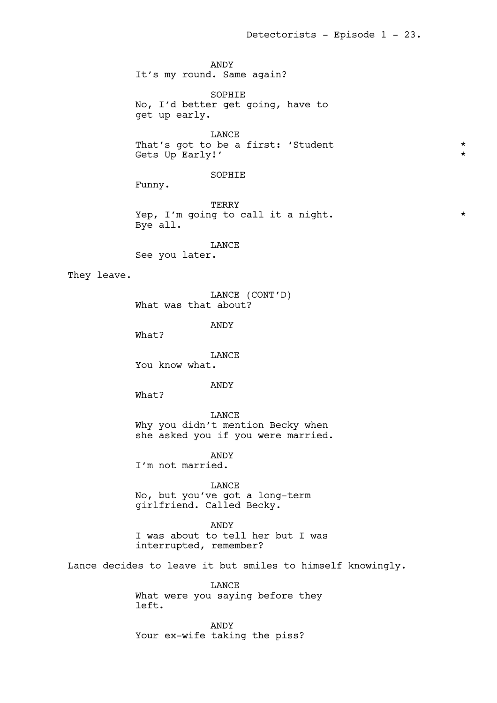ANDY It's my round. Same again? SOPHIE No, I'd better get going, have to get up early. **TANCE** That's got to be a first: 'Student \* Gets Up Early!'  $\star$ SOPHIE Funny. TERRY Yep, I'm going to call it a night.  $*$ Bye all. LANCE See you later. They leave. LANCE (CONT'D) What was that about? ANDY What? LANCE You know what. ANDY What? LANCE Why you didn't mention Becky when she asked you if you were married. ANDY I'm not married. LANCE No, but you've got a long-term girlfriend. Called Becky. ANDY I was about to tell her but I was interrupted, remember? Lance decides to leave it but smiles to himself knowingly. LANCE What were you saying before they left.

> ANDY Your ex-wife taking the piss?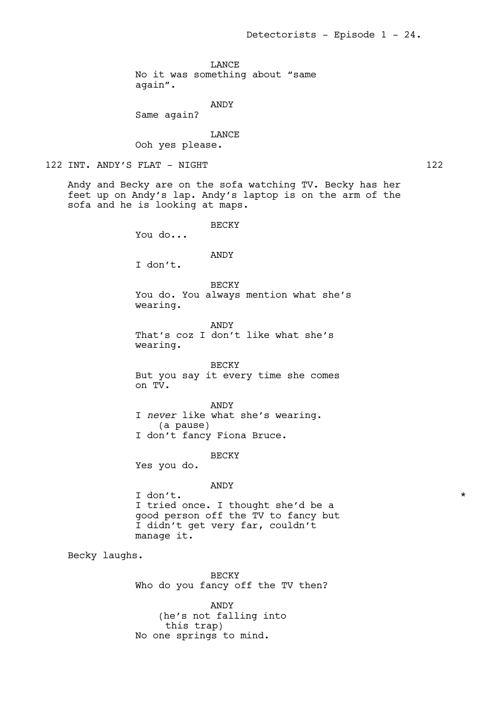LANCE

No it was something about "same

again".

# ANDY

Same again?

**T.ANCE** 

Ooh yes please.

```
122 INT. ANDY'S FLAT - NIGHT 122
```
Andy and Becky are on the sofa watching TV. Becky has her feet up on Andy's lap. Andy's laptop is on the arm of the sofa and he is looking at maps.

BECKY

You do...

# ANDY

I don't.

BECKY You do. You always mention what she's wearing.

ANDY That's coz I don't like what she's wearing.

### BECKY

But you say it every time she comes on TV.

ANDY I *never* like what she's wearing. (a pause) I don't fancy Fiona Bruce.

BECKY

Yes you do.

# ANDY

I don't.  $\star$ I tried once. I thought she'd be a good person off the TV to fancy but I didn't get very far, couldn't manage it.

Becky laughs.

BECKY Who do you fancy off the TV then?

ANDY (he's not falling into this trap) No one springs to mind.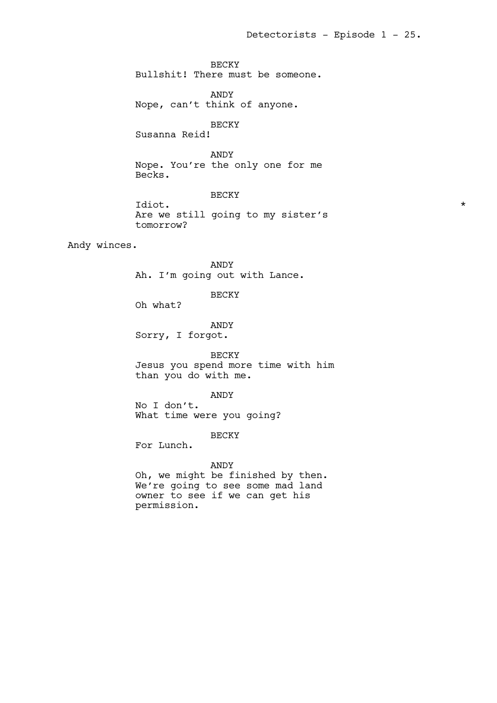BECKY Bullshit! There must be someone.

ANDY Nope, can't think of anyone.

BECKY

Susanna Reid!

ANDY

Nope. You're the only one for me Becks.

BECKY

Idiot.  $\star$ Are we still going to my sister's tomorrow?

Andy winces.

ANDY Ah. I'm going out with Lance.

BECKY

Oh what?

ANDY Sorry, I forgot.

BECKY

Jesus you spend more time with him than you do with me.

ANDY

No I don't. What time were you going?

BECKY

For Lunch.

ANDY

Oh, we might be finished by then. We're going to see some mad land owner to see if we can get his permission.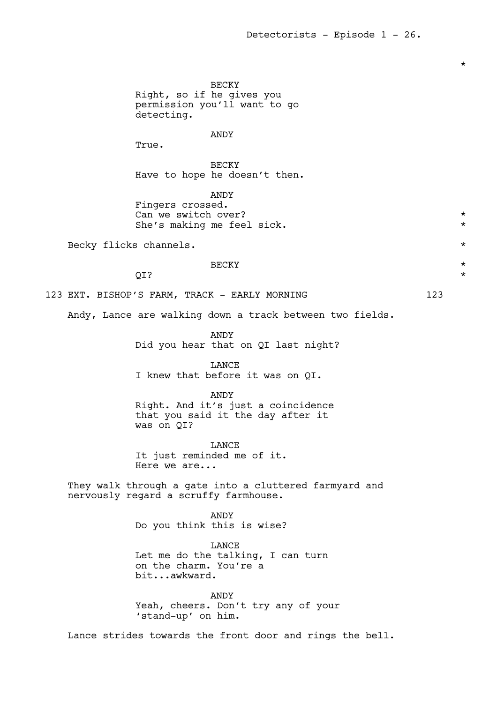BECKY Right, so if he gives you permission you'll want to go detecting. ANDY True. BECKY Have to hope he doesn't then. ANDY Fingers crossed. Can we switch over?  $*$ She's making me feel sick.  $*$ Becky flicks channels.  $\star$  $\overline{BECKY}$  \* QI?  $\star$ 123 EXT. BISHOP'S FARM, TRACK - EARLY MORNING 123 Andy, Lance are walking down a track between two fields. ANDY Did you hear that on QI last night? LANCE I knew that before it was on QI. ANDY Right. And it's just a coincidence that you said it the day after it was on QI? LANCE It just reminded me of it. Here we are... They walk through a gate into a cluttered farmyard and nervously regard a scruffy farmhouse. ANDY Do you think this is wise? LANCE Let me do the talking, I can turn on the charm. You're a bit...awkward. ANDY Yeah, cheers. Don't try any of your 'stand-up' on him. Lance strides towards the front door and rings the bell.

\*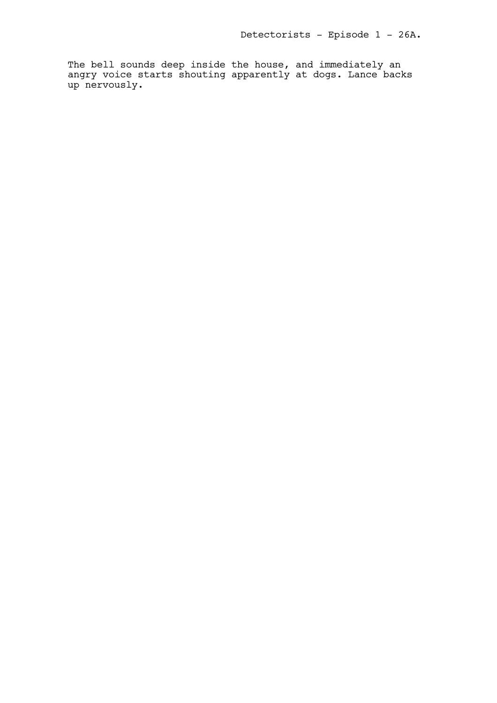The bell sounds deep inside the house, and immediately an angry voice starts shouting apparently at dogs. Lance backs up nervously.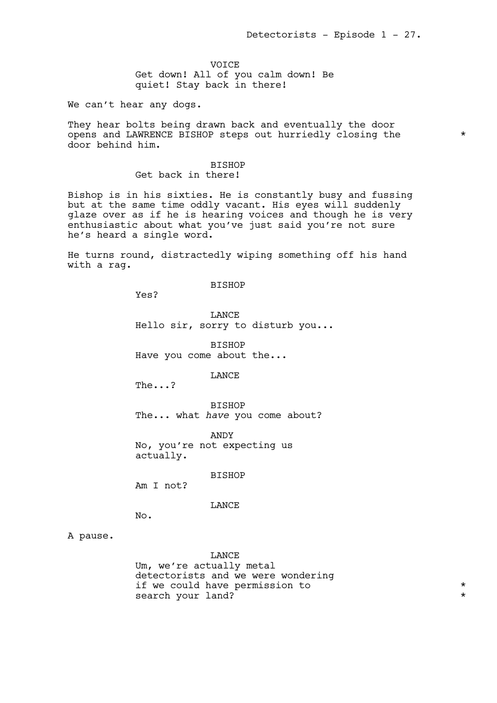VOICE Get down! All of you calm down! Be quiet! Stay back in there!

We can't hear any dogs.

They hear bolts being drawn back and eventually the door opens and LAWRENCE BISHOP steps out hurriedly closing the \* door behind him.

# BISHOP

Get back in there!

Bishop is in his sixties. He is constantly busy and fussing but at the same time oddly vacant. His eyes will suddenly glaze over as if he is hearing voices and though he is very enthusiastic about what you've just said you're not sure he's heard a single word.

He turns round, distractedly wiping something off his hand with a rag.

### BISHOP

Yes?

LANCE Hello sir, sorry to disturb you...

BISHOP Have you come about the...

LANCE

The...?

BISHOP The... what *have* you come about?

ANDY No, you're not expecting us actually.

BISHOP

Am I not?

LANCE

No.

# A pause.

**LANCE** Um, we're actually metal detectorists and we were wondering if we could have permission to  $*$ search your land?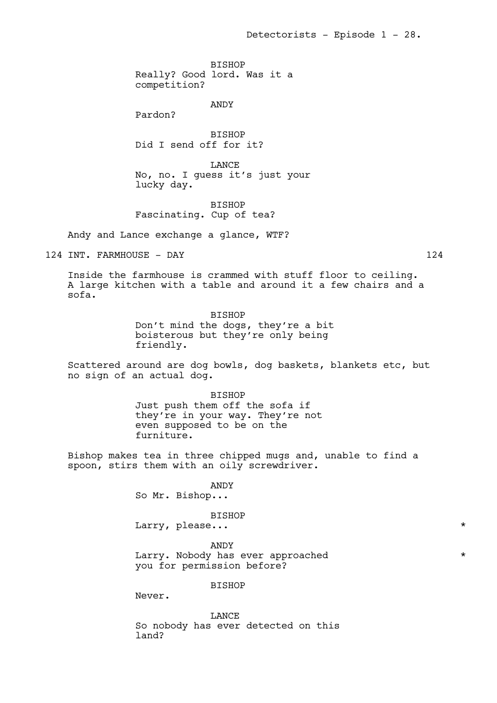BISHOP Really? Good lord. Was it a competition?

ANDY

Pardon?

**BISHOP** Did I send off for it?

LANCE No, no. I guess it's just your lucky day.

BISHOP Fascinating. Cup of tea?

Andy and Lance exchange a glance, WTF?

124 INT. FARMHOUSE - DAY 124

Inside the farmhouse is crammed with stuff floor to ceiling. A large kitchen with a table and around it a few chairs and a sofa.

> BISHOP Don't mind the dogs, they're a bit boisterous but they're only being friendly.

Scattered around are dog bowls, dog baskets, blankets etc, but no sign of an actual dog.

> BISHOP Just push them off the sofa if they're in your way. They're not even supposed to be on the furniture.

Bishop makes tea in three chipped mugs and, unable to find a spoon, stirs them with an oily screwdriver.

ANDY

So Mr. Bishop...

### BISHOP

Larry, please...  $\star$ 

ANDY Larry. Nobody has ever approached \* \* you for permission before?

BISHOP

Never.

LANCE So nobody has ever detected on this land?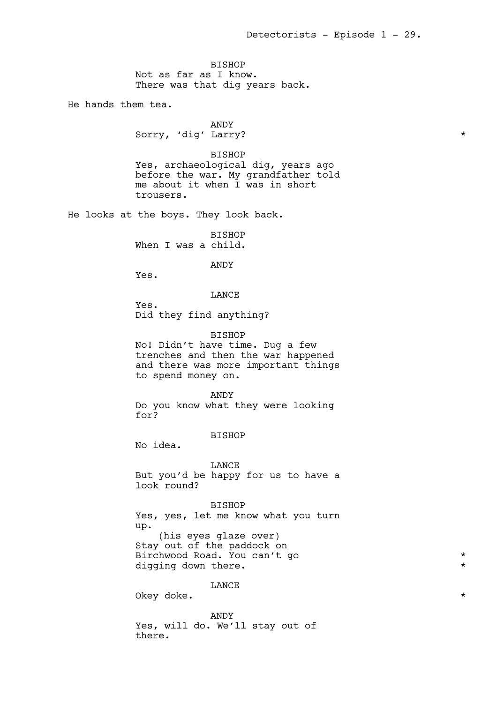BISHOP Not as far as I know. There was that dig years back.

He hands them tea.

ANDY Sorry, 'dig' Larry? \*

BISHOP Yes, archaeological dig, years ago before the war. My grandfather told me about it when I was in short trousers.

He looks at the boys. They look back.

BISHOP When I was a child.

ANDY

Yes.

LANCE

Yes. Did they find anything?

BISHOP

No! Didn't have time. Dug a few trenches and then the war happened and there was more important things to spend money on.

ANDY

Do you know what they were looking for?

BISHOP

No idea.

LANCE But you'd be happy for us to have a look round?

BISHOP Yes, yes, let me know what you turn up. (his eyes glaze over) Stay out of the paddock on Birchwood Road. You can't go  $\star$ digging down there.

LANCE

Okey doke.  $\star$ 

ANDY Yes, will do. We'll stay out of there.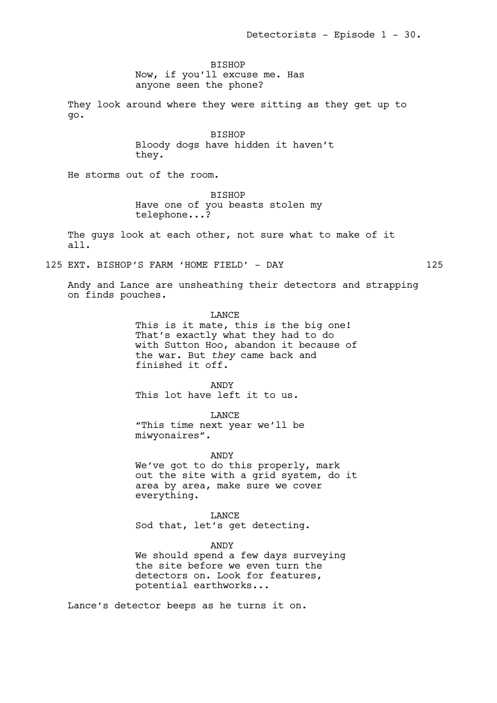Detectorists - Episode 1 - 30.

BISHOP Now, if you'll excuse me. Has anyone seen the phone?

They look around where they were sitting as they get up to go.

> BISHOP Bloody dogs have hidden it haven't they.

He storms out of the room.

BISHOP Have one of you beasts stolen my telephone...?

The guys look at each other, not sure what to make of it all.

125 EXT. BISHOP'S FARM 'HOME FIELD' - DAY 125

Andy and Lance are unsheathing their detectors and strapping on finds pouches.

> LANCE This is it mate, this is the big one! That's exactly what they had to do with Sutton Hoo, abandon it because of the war. But *they* came back and finished it off.

ANDY This lot have left it to us.

LANCE "This time next year we'll be miwyonaires".

ANDY

We've got to do this properly, mark out the site with a grid system, do it area by area, make sure we cover everything.

LANCE Sod that, let's get detecting.

ANDY We should spend a few days surveying the site before we even turn the detectors on. Look for features, potential earthworks...

Lance's detector beeps as he turns it on.